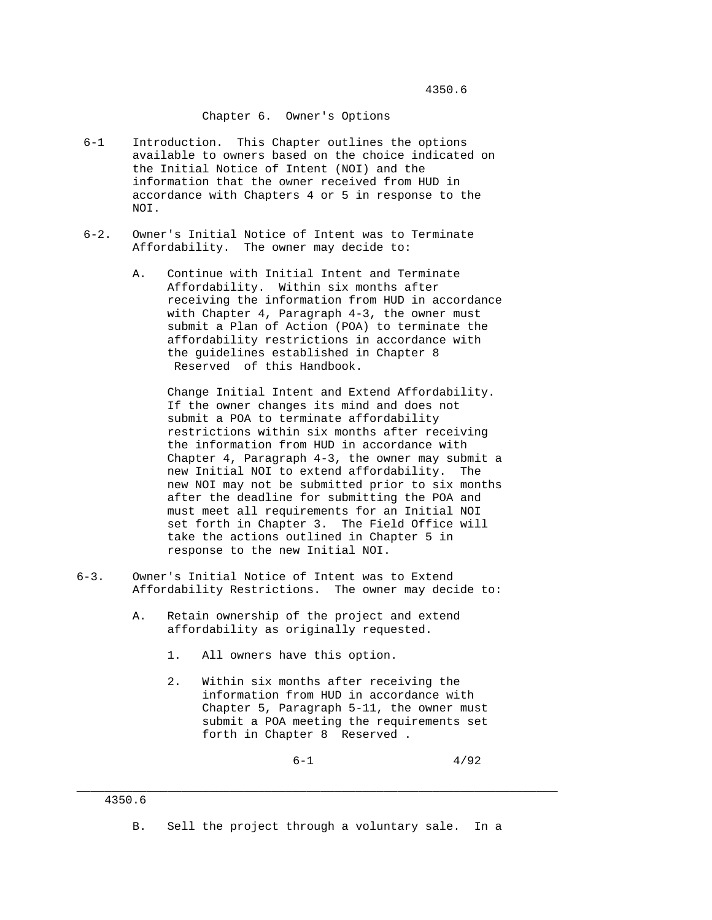## Chapter 6. Owner's Options

- 6-1 Introduction. This Chapter outlines the options available to owners based on the choice indicated on the Initial Notice of Intent (NOI) and the information that the owner received from HUD in accordance with Chapters 4 or 5 in response to the NOI.
- 6-2. Owner's Initial Notice of Intent was to Terminate Affordability. The owner may decide to:
	- A. Continue with Initial Intent and Terminate Affordability. Within six months after receiving the information from HUD in accordance with Chapter 4, Paragraph 4-3, the owner must submit a Plan of Action (POA) to terminate the affordability restrictions in accordance with the guidelines established in Chapter 8 Reserved of this Handbook.

 Change Initial Intent and Extend Affordability. If the owner changes its mind and does not submit a POA to terminate affordability restrictions within six months after receiving the information from HUD in accordance with Chapter 4, Paragraph 4-3, the owner may submit a new Initial NOI to extend affordability. The new NOI may not be submitted prior to six months after the deadline for submitting the POA and must meet all requirements for an Initial NOI set forth in Chapter 3. The Field Office will take the actions outlined in Chapter 5 in response to the new Initial NOI.

- 6-3. Owner's Initial Notice of Intent was to Extend Affordability Restrictions. The owner may decide to:
	- A. Retain ownership of the project and extend affordability as originally requested.
		- 1. All owners have this option.
		- 2. Within six months after receiving the information from HUD in accordance with Chapter 5, Paragraph 5-11, the owner must submit a POA meeting the requirements set forth in Chapter 8 Reserved .

 $6-1$   $4/92$ 

B. Sell the project through a voluntary sale. In a

\_\_\_\_\_\_\_\_\_\_\_\_\_\_\_\_\_\_\_\_\_\_\_\_\_\_\_\_\_\_\_\_\_\_\_\_\_\_\_\_\_\_\_\_\_\_\_\_\_\_\_\_\_\_\_\_\_\_\_\_\_\_\_\_\_\_\_\_\_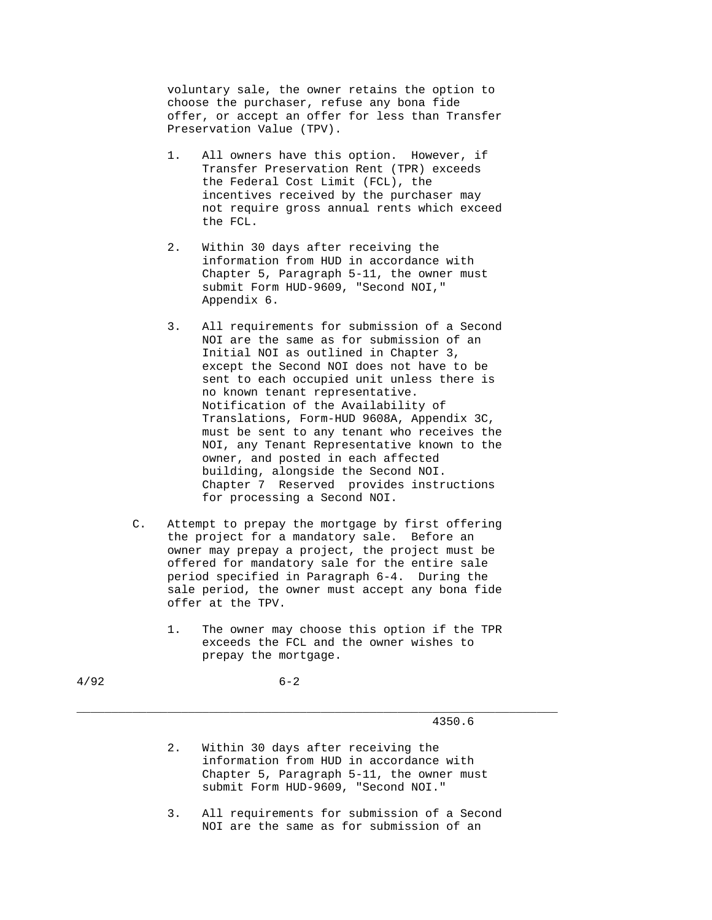voluntary sale, the owner retains the option to choose the purchaser, refuse any bona fide offer, or accept an offer for less than Transfer Preservation Value (TPV).

- 1. All owners have this option. However, if Transfer Preservation Rent (TPR) exceeds the Federal Cost Limit (FCL), the incentives received by the purchaser may not require gross annual rents which exceed the FCL.
- 2. Within 30 days after receiving the information from HUD in accordance with Chapter 5, Paragraph 5-11, the owner must submit Form HUD-9609, "Second NOI," Appendix 6.
- 3. All requirements for submission of a Second NOI are the same as for submission of an Initial NOI as outlined in Chapter 3, except the Second NOI does not have to be sent to each occupied unit unless there is no known tenant representative. Notification of the Availability of Translations, Form-HUD 9608A, Appendix 3C, must be sent to any tenant who receives the NOI, any Tenant Representative known to the owner, and posted in each affected building, alongside the Second NOI. Chapter 7 Reserved provides instructions for processing a Second NOI.
- C. Attempt to prepay the mortgage by first offering the project for a mandatory sale. Before an owner may prepay a project, the project must be offered for mandatory sale for the entire sale period specified in Paragraph 6-4. During the sale period, the owner must accept any bona fide offer at the TPV.
	- 1. The owner may choose this option if the TPR exceeds the FCL and the owner wishes to prepay the mortgage.

## 4350.6

 2. Within 30 days after receiving the information from HUD in accordance with Chapter 5, Paragraph 5-11, the owner must submit Form HUD-9609, "Second NOI."

\_\_\_\_\_\_\_\_\_\_\_\_\_\_\_\_\_\_\_\_\_\_\_\_\_\_\_\_\_\_\_\_\_\_\_\_\_\_\_\_\_\_\_\_\_\_\_\_\_\_\_\_\_\_\_\_\_\_\_\_\_\_\_\_\_\_\_\_\_

 3. All requirements for submission of a Second NOI are the same as for submission of an